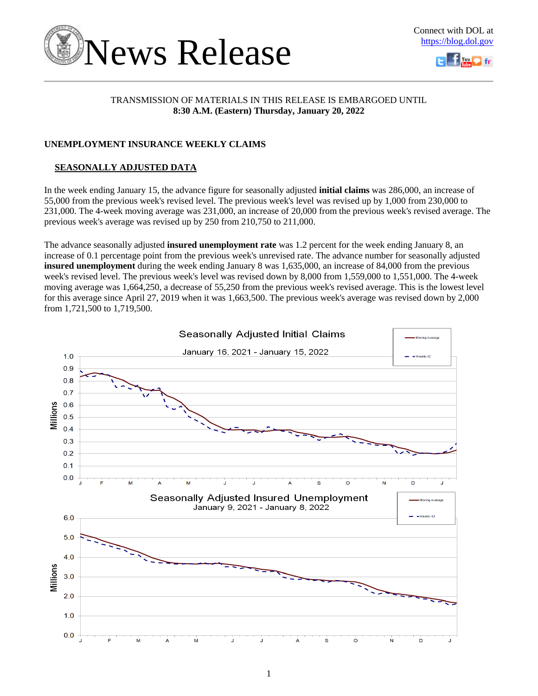



### TRANSMISSION OF MATERIALS IN THIS RELEASE IS EMBARGOED UNTIL **8:30 A.M. (Eastern) Thursday, January 20, 2022**

### **UNEMPLOYMENT INSURANCE WEEKLY CLAIMS**

### **SEASONALLY ADJUSTED DATA**

In the week ending January 15, the advance figure for seasonally adjusted **initial claims** was 286,000, an increase of 55,000 from the previous week's revised level. The previous week's level was revised up by 1,000 from 230,000 to 231,000. The 4-week moving average was 231,000, an increase of 20,000 from the previous week's revised average. The previous week's average was revised up by 250 from 210,750 to 211,000.

The advance seasonally adjusted **insured unemployment rate** was 1.2 percent for the week ending January 8, an increase of 0.1 percentage point from the previous week's unrevised rate. The advance number for seasonally adjusted **insured unemployment** during the week ending January 8 was 1,635,000, an increase of 84,000 from the previous week's revised level. The previous week's level was revised down by 8,000 from 1,559,000 to 1,551,000. The 4-week moving average was 1,664,250, a decrease of 55,250 from the previous week's revised average. This is the lowest level for this average since April 27, 2019 when it was 1,663,500. The previous week's average was revised down by 2,000 from 1,721,500 to 1,719,500.

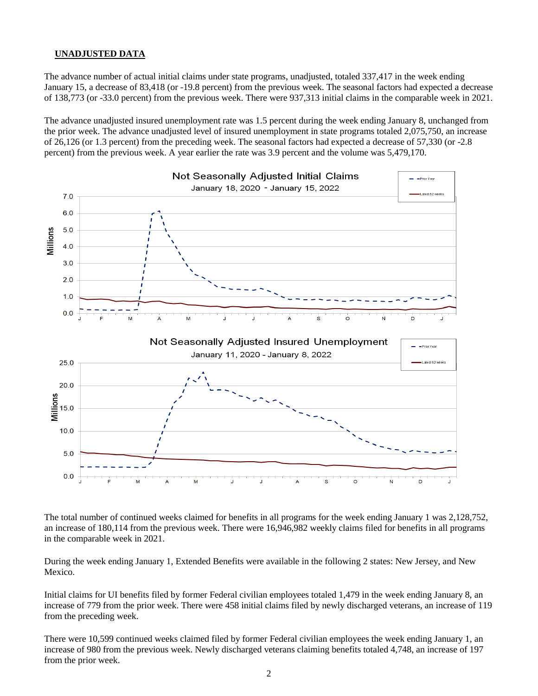### **UNADJUSTED DATA**

The advance number of actual initial claims under state programs, unadjusted, totaled 337,417 in the week ending January 15, a decrease of 83,418 (or -19.8 percent) from the previous week. The seasonal factors had expected a decrease of 138,773 (or -33.0 percent) from the previous week. There were 937,313 initial claims in the comparable week in 2021.

The advance unadjusted insured unemployment rate was 1.5 percent during the week ending January 8, unchanged from the prior week. The advance unadjusted level of insured unemployment in state programs totaled 2,075,750, an increase of 26,126 (or 1.3 percent) from the preceding week. The seasonal factors had expected a decrease of 57,330 (or -2.8 percent) from the previous week. A year earlier the rate was 3.9 percent and the volume was 5,479,170.



The total number of continued weeks claimed for benefits in all programs for the week ending January 1 was 2,128,752, an increase of 180,114 from the previous week. There were 16,946,982 weekly claims filed for benefits in all programs in the comparable week in 2021.

During the week ending January 1, Extended Benefits were available in the following 2 states: New Jersey, and New Mexico.

Initial claims for UI benefits filed by former Federal civilian employees totaled 1,479 in the week ending January 8, an increase of 779 from the prior week. There were 458 initial claims filed by newly discharged veterans, an increase of 119 from the preceding week.

There were 10,599 continued weeks claimed filed by former Federal civilian employees the week ending January 1, an increase of 980 from the previous week. Newly discharged veterans claiming benefits totaled 4,748, an increase of 197 from the prior week.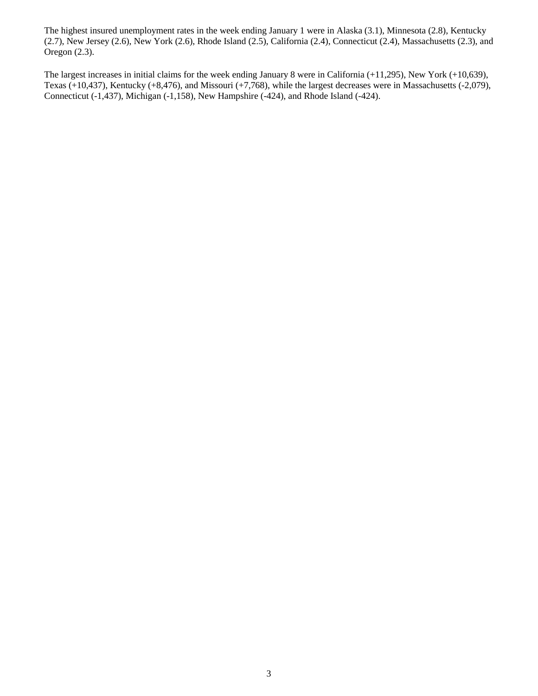The highest insured unemployment rates in the week ending January 1 were in Alaska (3.1), Minnesota (2.8), Kentucky (2.7), New Jersey (2.6), New York (2.6), Rhode Island (2.5), California (2.4), Connecticut (2.4), Massachusetts (2.3), and Oregon (2.3).

The largest increases in initial claims for the week ending January 8 were in California (+11,295), New York (+10,639), Texas (+10,437), Kentucky (+8,476), and Missouri (+7,768), while the largest decreases were in Massachusetts (-2,079), Connecticut (-1,437), Michigan (-1,158), New Hampshire (-424), and Rhode Island (-424).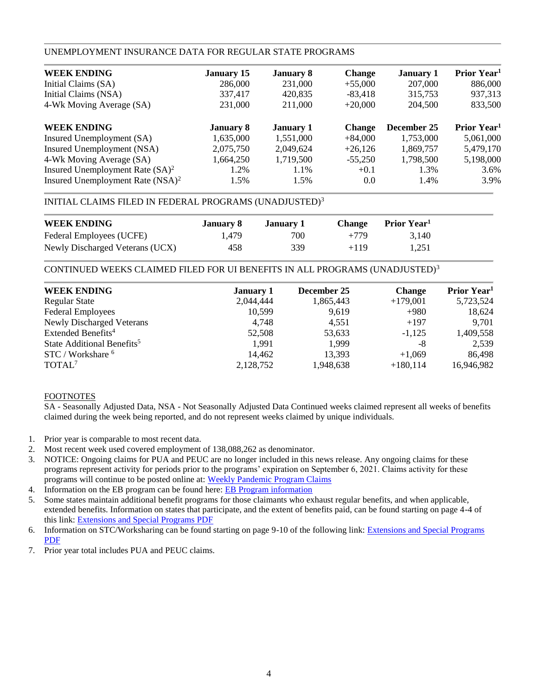### UNEMPLOYMENT INSURANCE DATA FOR REGULAR STATE PROGRAMS

| <b>January 15</b> | <b>January 8</b> | <b>Change</b> | <b>January 1</b> | Prior Year <sup>1</sup> |
|-------------------|------------------|---------------|------------------|-------------------------|
| 286,000           | 231,000          | $+55,000$     | 207,000          | 886,000                 |
| 337,417           | 420,835          | $-83,418$     | 315,753          | 937,313                 |
| 231,000           | 211,000          | $+20.000$     | 204,500          | 833,500                 |
| <b>January 8</b>  | <b>January 1</b> | <b>Change</b> | December 25      | Prior Year <sup>1</sup> |
| 1,635,000         | 1,551,000        | $+84,000$     | 1,753,000        | 5,061,000               |
| 2,075,750         | 2,049,624        | $+26.126$     | 1,869,757        | 5,479,170               |
| 1,664,250         | 1,719,500        | $-55,250$     | 1,798,500        | 5,198,000               |
| 1.2%              | 1.1%             | $+0.1$        | 1.3%             | 3.6%                    |
| 1.5%              | 1.5%             | 0.0           | 1.4%             | 3.9%                    |
|                   |                  |               |                  |                         |

### INITIAL CLAIMS FILED IN FEDERAL PROGRAMS (UNADJUSTED)<sup>3</sup>

| <b>WEEK ENDING</b>              | January 8 | January 1 | <b>Change</b> | <b>Prior Year</b> |
|---------------------------------|-----------|-----------|---------------|-------------------|
| Federal Employees (UCFE)        | 1.479     | 700       | $+779$        | 3.140             |
| Newly Discharged Veterans (UCX) | 458       | 339       | $+119$        | 1,251             |

### CONTINUED WEEKS CLAIMED FILED FOR UI BENEFITS IN ALL PROGRAMS (UNADJUSTED)<sup>3</sup>

| <b>WEEK ENDING</b>                     | <b>January 1</b> | December 25 | <b>Change</b> | Prior Year <sup>1</sup> |
|----------------------------------------|------------------|-------------|---------------|-------------------------|
| <b>Regular State</b>                   | 2,044,444        | 1,865,443   | $+179,001$    | 5,723,524               |
| <b>Federal Employees</b>               | 10,599           | 9,619       | $+980$        | 18,624                  |
| <b>Newly Discharged Veterans</b>       | 4,748            | 4.551       | $+197$        | 9,701                   |
| Extended Benefits <sup>4</sup>         | 52,508           | 53,633      | $-1.125$      | 1,409,558               |
| State Additional Benefits <sup>5</sup> | 1.991            | 1.999       | -8            | 2,539                   |
| STC / Workshare <sup>6</sup>           | 14,462           | 13,393      | $+1,069$      | 86,498                  |
| TOTAL <sup>7</sup>                     | 2,128,752        | 1,948,638   | $+180,114$    | 16,946,982              |
|                                        |                  |             |               |                         |

### FOOTNOTES

SA - Seasonally Adjusted Data, NSA - Not Seasonally Adjusted Data Continued weeks claimed represent all weeks of benefits claimed during the week being reported, and do not represent weeks claimed by unique individuals.

- 1. Prior year is comparable to most recent data.
- 2. Most recent week used covered employment of 138,088,262 as denominator.
- 3. NOTICE: Ongoing claims for PUA and PEUC are no longer included in this news release. Any ongoing claims for these programs represent activity for periods prior to the programs' expiration on September 6, 2021. Claims activity for these programs will continue to be posted online at: [Weekly Pandemic Program Claims](https://oui.doleta.gov/unemploy/docs/weekly_pandemic_claims.xlsx)
- 4. Information on the EB program can be found here: [EB Program information](https://oui.doleta.gov/unemploy/extenben.asp)
- 5. Some states maintain additional benefit programs for those claimants who exhaust regular benefits, and when applicable, extended benefits. Information on states that participate, and the extent of benefits paid, can be found starting on page 4-4 of this link: [Extensions and Special Programs PDF](https://oui.doleta.gov/unemploy/pdf/uilawcompar/2020/special.pdf#page=4)
- 6. Information on STC/Worksharing can be found starting on page 9-10 of the following link: [Extensions and Special Programs](https://oui.doleta.gov/unemploy/pdf/uilawcompar/2020/special.pdf#page=9)  [PDF](https://oui.doleta.gov/unemploy/pdf/uilawcompar/2020/special.pdf#page=9)
- 7. Prior year total includes PUA and PEUC claims.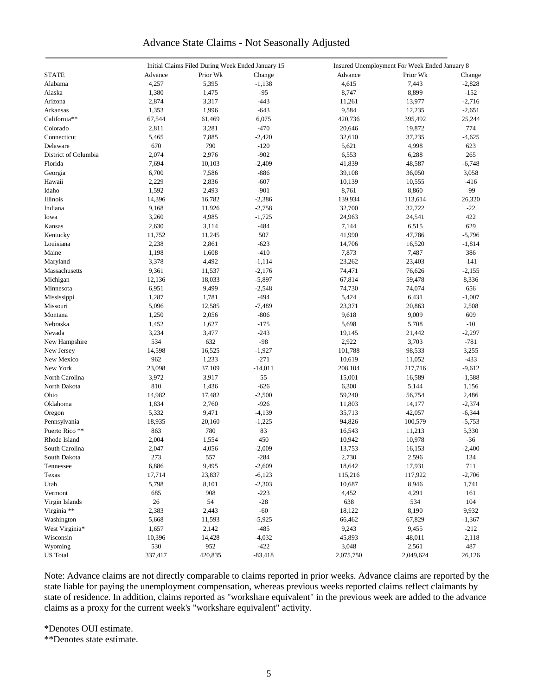### Advance State Claims - Not Seasonally Adjusted

|                      |         | Initial Claims Filed During Week Ended January 15 |           | Insured Unemployment For Week Ended January 8 |           |          |  |
|----------------------|---------|---------------------------------------------------|-----------|-----------------------------------------------|-----------|----------|--|
| <b>STATE</b>         | Advance | Prior Wk                                          | Change    | Advance                                       | Prior Wk  | Change   |  |
| Alabama              | 4,257   | 5,395                                             | $-1,138$  | 4,615                                         | 7,443     | $-2,828$ |  |
| Alaska               | 1,380   | 1,475                                             | $-95$     | 8,747                                         | 8,899     | $-152$   |  |
| Arizona              | 2,874   | 3,317                                             | $-443$    | 11,261                                        | 13,977    | $-2,716$ |  |
| Arkansas             | 1,353   | 1,996                                             | $-643$    | 9,584                                         | 12,235    | $-2,651$ |  |
| California**         | 67,544  | 61,469                                            | 6,075     | 420,736                                       | 395,492   | 25,244   |  |
| Colorado             | 2,811   | 3,281                                             | $-470$    | 20,646                                        | 19,872    | 774      |  |
| Connecticut          | 5,465   | 7,885                                             | $-2,420$  | 32,610                                        | 37,235    |          |  |
|                      | 670     | 790                                               | $-120$    |                                               |           | $-4,625$ |  |
| Delaware             |         |                                                   |           | 5,621                                         | 4,998     | 623      |  |
| District of Columbia | 2,074   | 2,976                                             | $-902$    | 6,553                                         | 6,288     | 265      |  |
| Florida              | 7,694   | 10,103                                            | $-2,409$  | 41,839                                        | 48,587    | $-6,748$ |  |
| Georgia              | 6,700   | 7,586                                             | $-886$    | 39,108                                        | 36,050    | 3,058    |  |
| Hawaii               | 2,229   | 2,836                                             | $-607$    | 10,139                                        | 10,555    | $-416$   |  |
| Idaho                | 1,592   | 2,493                                             | $-901$    | 8,761                                         | 8,860     | -99      |  |
| Illinois             | 14,396  | 16,782                                            | $-2,386$  | 139,934                                       | 113,614   | 26,320   |  |
| Indiana              | 9,168   | 11,926                                            | $-2,758$  | 32,700                                        | 32,722    | $-22$    |  |
| Iowa                 | 3,260   | 4,985                                             | $-1,725$  | 24,963                                        | 24,541    | 422      |  |
| Kansas               | 2,630   | 3,114                                             | $-484$    | 7,144                                         | 6,515     | 629      |  |
| Kentucky             | 11,752  | 11,245                                            | 507       | 41,990                                        | 47,786    | $-5,796$ |  |
| Louisiana            | 2,238   | 2,861                                             | $-623$    | 14,706                                        | 16,520    | $-1,814$ |  |
| Maine                | 1,198   | 1,608                                             | $-410$    | 7,873                                         | 7,487     | 386      |  |
| Maryland             | 3,378   | 4,492                                             | $-1,114$  | 23,262                                        | 23,403    | $-141$   |  |
| Massachusetts        | 9,361   | 11,537                                            | $-2,176$  | 74,471                                        | 76,626    | $-2,155$ |  |
| Michigan             | 12,136  | 18,033                                            | $-5,897$  | 67,814                                        | 59,478    | 8,336    |  |
| Minnesota            | 6,951   | 9,499                                             | $-2,548$  | 74,730                                        | 74,074    | 656      |  |
| Mississippi          | 1,287   | 1,781                                             | $-494$    | 5,424                                         | 6,431     | $-1,007$ |  |
| Missouri             | 5,096   | 12,585                                            | $-7,489$  | 23,371                                        | 20,863    | 2,508    |  |
| Montana              | 1,250   | 2,056                                             | $-806$    | 9,618                                         | 9,009     | 609      |  |
| Nebraska             | 1,452   | 1,627                                             | $-175$    | 5,698                                         | 5,708     | $-10$    |  |
| Nevada               | 3,234   | 3,477                                             | $-243$    | 19,145                                        | 21,442    | $-2,297$ |  |
| New Hampshire        | 534     | 632                                               | $-98$     | 2,922                                         | 3,703     | $-781$   |  |
| New Jersey           | 14,598  | 16,525                                            | $-1,927$  | 101,788                                       | 98,533    | 3,255    |  |
| New Mexico           | 962     | 1,233                                             | $-271$    | 10,619                                        | 11,052    | $-433$   |  |
| New York             | 23,098  | 37,109                                            | $-14,011$ | 208,104                                       | 217,716   | $-9,612$ |  |
|                      |         |                                                   | 55        |                                               |           |          |  |
| North Carolina       | 3,972   | 3,917                                             |           | 15,001                                        | 16,589    | $-1,588$ |  |
| North Dakota         | 810     | 1,436                                             | $-626$    | 6,300                                         | 5,144     | 1,156    |  |
| Ohio                 | 14,982  | 17,482                                            | $-2,500$  | 59,240                                        | 56,754    | 2,486    |  |
| Oklahoma             | 1,834   | 2,760                                             | $-926$    | 11,803                                        | 14,177    | $-2,374$ |  |
| Oregon               | 5,332   | 9,471                                             | $-4,139$  | 35,713                                        | 42,057    | $-6,344$ |  |
| Pennsylvania         | 18,935  | 20,160                                            | $-1,225$  | 94,826                                        | 100,579   | $-5,753$ |  |
| Puerto Rico **       | 863     | 780                                               | 83        | 16,543                                        | 11,213    | 5,330    |  |
| Rhode Island         | 2,004   | 1,554                                             | 450       | 10,942                                        | 10,978    | $-36$    |  |
| South Carolina       | 2,047   | 4,056                                             | $-2,009$  | 13,753                                        | 16,153    | $-2,400$ |  |
| South Dakota         | 273     | 557                                               | $-284$    | 2,730                                         | 2,596     | 134      |  |
| Tennessee            | 6,886   | 9,495                                             | $-2,609$  | 18,642                                        | 17,931    | 711      |  |
| Texas                | 17,714  | 23,837                                            | $-6,123$  | 115,216                                       | 117,922   | $-2,706$ |  |
| Utah                 | 5,798   | 8,101                                             | $-2,303$  | 10,687                                        | 8,946     | 1,741    |  |
| Vermont              | 685     | 908                                               | $-223$    | 4,452                                         | 4,291     | 161      |  |
| Virgin Islands       | $26\,$  | 54                                                | $-28$     | 638                                           | 534       | 104      |  |
| Virginia **          | 2,383   | 2,443                                             | $-60$     | 18,122                                        | 8,190     | 9,932    |  |
| Washington           | 5,668   | 11,593                                            | $-5,925$  | 66,462                                        | 67,829    | $-1,367$ |  |
| West Virginia*       | 1,657   | 2,142                                             | $-485$    | 9,243                                         | 9,455     | $-212$   |  |
| Wisconsin            | 10,396  | 14,428                                            | $-4,032$  | 45,893                                        | 48,011    | $-2,118$ |  |
| Wyoming              | 530     | 952                                               | $-422$    | 3,048                                         | 2,561     | 487      |  |
| <b>US</b> Total      | 337,417 | 420,835                                           | $-83,418$ | 2,075,750                                     | 2,049,624 | 26,126   |  |
|                      |         |                                                   |           |                                               |           |          |  |

Note: Advance claims are not directly comparable to claims reported in prior weeks. Advance claims are reported by the state liable for paying the unemployment compensation, whereas previous weeks reported claims reflect claimants by state of residence. In addition, claims reported as "workshare equivalent" in the previous week are added to the advance claims as a proxy for the current week's "workshare equivalent" activity.

\*Denotes OUI estimate.

\*\*Denotes state estimate.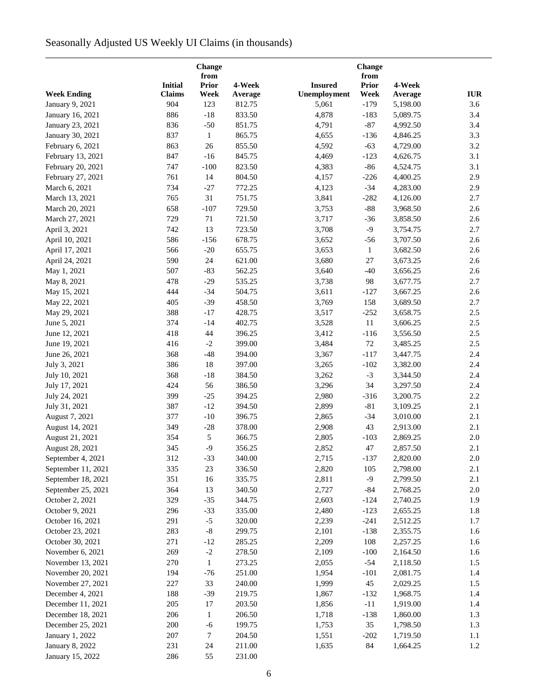# Seasonally Adjusted US Weekly UI Claims (in thousands)

|                        |                | Change<br>from |         |                |                      |          |            |
|------------------------|----------------|----------------|---------|----------------|----------------------|----------|------------|
|                        | <b>Initial</b> | <b>Prior</b>   | 4-Week  | <b>Insured</b> | from<br><b>Prior</b> | 4-Week   |            |
| <b>Week Ending</b>     | <b>Claims</b>  | Week           | Average | Unemployment   | Week                 | Average  | <b>IUR</b> |
| January 9, 2021        | 904            | 123            | 812.75  | 5,061          | $-179$               | 5,198.00 | 3.6        |
| January 16, 2021       | 886            | $-18$          | 833.50  | 4,878          | $-183$               | 5,089.75 | 3.4        |
| January 23, 2021       | 836            | $-50$          | 851.75  | 4,791          | $-87$                | 4,992.50 | 3.4        |
| January 30, 2021       | 837            | $\mathbf{1}$   | 865.75  | 4,655          | $-136$               | 4,846.25 | 3.3        |
| February 6, 2021       | 863            | 26             | 855.50  | 4,592          | $-63$                | 4,729.00 | 3.2        |
| February 13, 2021      | 847            | $-16$          | 845.75  | 4,469          | $-123$               | 4,626.75 | 3.1        |
| February 20, 2021      | 747            | $-100$         | 823.50  | 4,383          | $-86$                | 4,524.75 | 3.1        |
| February 27, 2021      | 761            | 14             | 804.50  | 4,157          | $-226$               | 4,400.25 | 2.9        |
| March 6, 2021          | 734            | $-27$          | 772.25  | 4,123          | $-34$                | 4,283.00 | 2.9        |
| March 13, 2021         | 765            | 31             | 751.75  | 3,841          | $-282$               | 4,126.00 | 2.7        |
| March 20, 2021         | 658            | $-107$         | 729.50  | 3,753          | $-88$                | 3,968.50 | 2.6        |
| March 27, 2021         | 729            | 71             | 721.50  | 3,717          | $-36$                | 3,858.50 | 2.6        |
| April 3, 2021          | 742            | 13             | 723.50  | 3,708          | $-9$                 | 3,754.75 | 2.7        |
| April 10, 2021         | 586            | $-156$         | 678.75  | 3,652          | $-56$                | 3,707.50 | 2.6        |
| April 17, 2021         | 566            | $-20$          | 655.75  | 3,653          | $\mathbf{1}$         | 3,682.50 | 2.6        |
| April 24, 2021         | 590            | 24             | 621.00  | 3,680          | 27                   | 3,673.25 | 2.6        |
| May 1, 2021            | 507            | $-83$          | 562.25  | 3,640          | $-40$                | 3,656.25 | 2.6        |
| May 8, 2021            | 478            | $-29$          | 535.25  | 3,738          | 98                   | 3,677.75 | 2.7        |
| May 15, 2021           | 444            | $-34$          | 504.75  | 3,611          | $-127$               | 3,667.25 | 2.6        |
| May 22, 2021           | 405            | $-39$          | 458.50  | 3,769          | 158                  | 3,689.50 | 2.7        |
| May 29, 2021           | 388            | $-17$          | 428.75  | 3,517          | $-252$               | 3,658.75 | 2.5        |
| June 5, 2021           | 374            | $-14$          | 402.75  | 3,528          | 11                   | 3,606.25 | 2.5        |
| June 12, 2021          | 418            | 44             | 396.25  | 3,412          | $-116$               | 3,556.50 | 2.5        |
| June 19, 2021          | 416            | $-2$           | 399.00  | 3,484          | $72\,$               | 3,485.25 | $2.5\,$    |
| June 26, 2021          | 368            | $-48$          | 394.00  | 3,367          | $-117$               | 3,447.75 | 2.4        |
| July 3, 2021           | 386            | 18             | 397.00  |                | $-102$               | 3,382.00 | 2.4        |
| July 10, 2021          | 368            | $-18$          | 384.50  | 3,265<br>3,262 | $-3$                 | 3,344.50 | 2.4        |
|                        | 424            | 56             | 386.50  | 3,296          | 34                   | 3,297.50 | 2.4        |
| July 17, 2021          | 399            | $-25$          | 394.25  | 2,980          | $-316$               | 3,200.75 | 2.2        |
| July 24, 2021          | 387            | $-12$          |         |                | $-81$                |          | 2.1        |
| July 31, 2021          |                |                | 394.50  | 2,899          |                      | 3,109.25 |            |
| August 7, 2021         | 377            | $-10$          | 396.75  | 2,865          | $-34$                | 3,010.00 | 2.1        |
| August 14, 2021        | 349            | $-28$          | 378.00  | 2,908          | 43                   | 2,913.00 | 2.1        |
| August 21, 2021        | 354            | 5              | 366.75  | 2,805          | $-103$               | 2,869.25 | 2.0        |
| August 28, 2021        | 345            | $-9$           | 356.25  | 2,852          | 47                   | 2,857.50 | $2.1\,$    |
| September 4, 2021      | 312            | $-33$          | 340.00  | 2,715          | $-137$               | 2,820.00 | 2.0        |
| September 11, 2021     | 335            | 23             | 336.50  | 2,820          | 105                  | 2,798.00 | 2.1        |
| September 18, 2021     | 351            | 16             | 335.75  | 2,811          | $-9$                 | 2,799.50 | 2.1        |
| September 25, 2021     | 364            | 13             | 340.50  | 2,727          | $-84$                | 2,768.25 | $2.0\,$    |
| October 2, 2021        | 329            | $-35$          | 344.75  | 2,603          | $-124$               | 2,740.25 | 1.9        |
| October 9, 2021        | 296            | $-33$          | 335.00  | 2,480          | $-123$               | 2,655.25 | 1.8        |
| October 16, 2021       | 291            | $-5$           | 320.00  | 2,239          | $-241$               | 2,512.25 | 1.7        |
| October 23, 2021       | 283            | $\mbox{-}8$    | 299.75  | 2,101          | $-138$               | 2,355.75 | 1.6        |
| October 30, 2021       | 271            | $-12$          | 285.25  | 2,209          | 108                  | 2,257.25 | 1.6        |
| November 6, 2021       | 269            | $-2$           | 278.50  | 2,109          | $-100$               | 2,164.50 | 1.6        |
| November 13, 2021      | 270            | $\mathbf{1}$   | 273.25  | 2,055          | $-54$                | 2,118.50 | 1.5        |
| November 20, 2021      | 194            | $-76$          | 251.00  | 1,954          | $-101$               | 2,081.75 | 1.4        |
| November 27, 2021      | 227            | 33             | 240.00  | 1,999          | 45                   | 2,029.25 | 1.5        |
| December 4, 2021       | 188            | $-39$          | 219.75  | 1,867          | $-132$               | 1,968.75 | 1.4        |
| December 11, 2021      | 205            | 17             | 203.50  | 1,856          | $-11$                | 1,919.00 | 1.4        |
| December 18, 2021      | 206            | 1              | 206.50  | 1,718          | $-138$               | 1,860.00 | 1.3        |
| December 25, 2021      | 200            | $-6$           | 199.75  | 1,753          | 35                   | 1,798.50 | 1.3        |
| January 1, 2022        | 207            | 7              | 204.50  | 1,551          | $-202$               | 1,719.50 | $1.1\,$    |
| <b>January 8, 2022</b> | 231            | 24             | 211.00  | 1,635          | 84                   | 1,664.25 | 1.2        |
| January 15, 2022       | 286            | 55             | 231.00  |                |                      |          |            |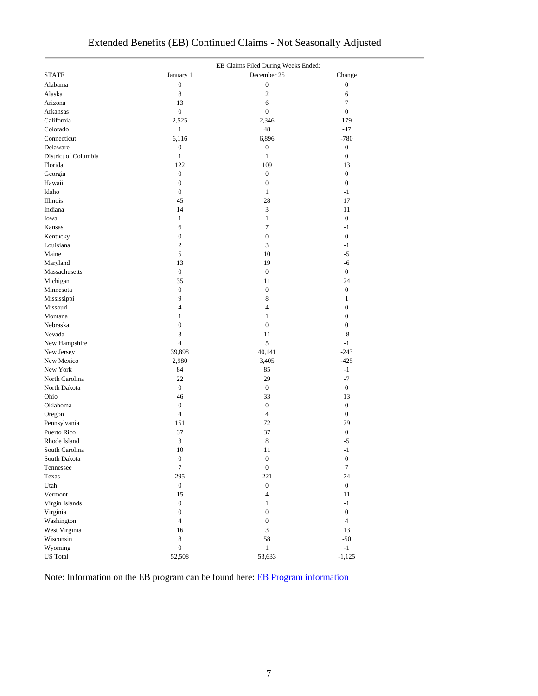|                      |                  | EB Claims Filed During Weeks Ended: |                  |  |  |  |  |  |
|----------------------|------------------|-------------------------------------|------------------|--|--|--|--|--|
| <b>STATE</b>         | January 1        | December 25                         | Change           |  |  |  |  |  |
| Alabama              | $\boldsymbol{0}$ | $\boldsymbol{0}$                    | $\boldsymbol{0}$ |  |  |  |  |  |
| Alaska               | 8                | $\mathfrak{2}$                      | 6                |  |  |  |  |  |
| Arizona              | 13               | 6                                   | 7                |  |  |  |  |  |
| Arkansas             | $\boldsymbol{0}$ | $\boldsymbol{0}$                    | $\boldsymbol{0}$ |  |  |  |  |  |
| California           | 2,525            | 2,346                               | 179              |  |  |  |  |  |
| Colorado             | $\mathbf{1}$     | 48                                  | $-47$            |  |  |  |  |  |
| Connecticut          | 6,116            | 6,896                               | $-780$           |  |  |  |  |  |
| Delaware             | $\boldsymbol{0}$ | $\boldsymbol{0}$                    | $\boldsymbol{0}$ |  |  |  |  |  |
| District of Columbia | $\mathbf{1}$     | $\mathbf{1}$                        | $\boldsymbol{0}$ |  |  |  |  |  |
| Florida              | 122              | 109                                 | 13               |  |  |  |  |  |
| Georgia              | $\boldsymbol{0}$ | $\boldsymbol{0}$                    | $\boldsymbol{0}$ |  |  |  |  |  |
| Hawaii               | $\boldsymbol{0}$ | $\boldsymbol{0}$                    | $\boldsymbol{0}$ |  |  |  |  |  |
| Idaho                | $\boldsymbol{0}$ | $\mathbf{1}$                        | $-1$             |  |  |  |  |  |
| Illinois             | 45               | 28                                  | 17               |  |  |  |  |  |
| Indiana              | 14               | 3                                   | 11               |  |  |  |  |  |
| Iowa                 | $\mathbf{1}$     | $\mathbf{1}$                        | $\boldsymbol{0}$ |  |  |  |  |  |
| Kansas               | 6                | $\tau$                              | $-1$             |  |  |  |  |  |
| Kentucky             | $\boldsymbol{0}$ | $\boldsymbol{0}$                    | $\boldsymbol{0}$ |  |  |  |  |  |
| Louisiana            | $\mathbf{2}$     | 3                                   | $-1$             |  |  |  |  |  |
| Maine                | 5                | 10                                  | $-5$             |  |  |  |  |  |
| Maryland             | 13               | 19                                  | -6               |  |  |  |  |  |
| Massachusetts        | $\boldsymbol{0}$ | $\boldsymbol{0}$                    | $\boldsymbol{0}$ |  |  |  |  |  |
| Michigan             | 35               | 11                                  | 24               |  |  |  |  |  |
| Minnesota            | $\boldsymbol{0}$ | $\boldsymbol{0}$                    | $\boldsymbol{0}$ |  |  |  |  |  |
| Mississippi          | 9                | $\,$ 8 $\,$                         | $\mathbf{1}$     |  |  |  |  |  |
| Missouri             | $\overline{4}$   | $\overline{4}$                      | $\boldsymbol{0}$ |  |  |  |  |  |
| Montana              | $\mathbf{1}$     | $\mathbf{1}$                        | $\boldsymbol{0}$ |  |  |  |  |  |
| Nebraska             | $\boldsymbol{0}$ | $\boldsymbol{0}$                    | $\boldsymbol{0}$ |  |  |  |  |  |
| Nevada               | 3                | 11                                  | -8               |  |  |  |  |  |
| New Hampshire        | $\overline{4}$   | 5                                   | $-1$             |  |  |  |  |  |
| New Jersey           | 39,898           | 40,141                              | $-243$           |  |  |  |  |  |
| New Mexico           | 2,980            | 3,405                               | $-425$           |  |  |  |  |  |
| New York             | 84               | 85                                  | $-1$             |  |  |  |  |  |
| North Carolina       | 22               | 29                                  | $-7$             |  |  |  |  |  |
| North Dakota         | $\boldsymbol{0}$ | $\boldsymbol{0}$                    | $\boldsymbol{0}$ |  |  |  |  |  |
| Ohio                 | 46               | 33                                  | 13               |  |  |  |  |  |
| Oklahoma             | $\boldsymbol{0}$ | $\boldsymbol{0}$                    | $\boldsymbol{0}$ |  |  |  |  |  |
| Oregon               | $\overline{4}$   | $\overline{4}$                      | $\boldsymbol{0}$ |  |  |  |  |  |
| Pennsylvania         | 151              | 72                                  | 79               |  |  |  |  |  |
| Puerto Rico          | 37               | 37                                  | $\boldsymbol{0}$ |  |  |  |  |  |
| Rhode Island         | 3                | $\,$ 8 $\,$                         | $-5$             |  |  |  |  |  |
| South Carolina       | 10               | 11                                  | $-1$             |  |  |  |  |  |
| South Dakota         | $\boldsymbol{0}$ | $\boldsymbol{0}$                    | $\boldsymbol{0}$ |  |  |  |  |  |
| Tennessee            | $\boldsymbol{7}$ | $\boldsymbol{0}$                    | $\boldsymbol{7}$ |  |  |  |  |  |
| Texas                | 295              | 221                                 | 74               |  |  |  |  |  |
| Utah                 | $\boldsymbol{0}$ | $\overline{0}$                      | $\boldsymbol{0}$ |  |  |  |  |  |
| Vermont              | 15               | $\overline{4}$                      | 11               |  |  |  |  |  |
| Virgin Islands       | $\boldsymbol{0}$ | $\mathbf{1}$                        | $-1$             |  |  |  |  |  |
| Virginia             | $\boldsymbol{0}$ | $\boldsymbol{0}$                    | $\boldsymbol{0}$ |  |  |  |  |  |
| Washington           | $\overline{4}$   | $\boldsymbol{0}$                    | $\overline{4}$   |  |  |  |  |  |
| West Virginia        | 16               | 3                                   | 13               |  |  |  |  |  |
| Wisconsin            | $\,$ 8 $\,$      | 58                                  | $-50$            |  |  |  |  |  |
| Wyoming              | $\boldsymbol{0}$ | $\,1$                               | $-1$             |  |  |  |  |  |
| <b>US</b> Total      | 52,508           | 53,633                              | $-1,125$         |  |  |  |  |  |
|                      |                  |                                     |                  |  |  |  |  |  |

## Extended Benefits (EB) Continued Claims - Not Seasonally Adjusted

Note: Information on the EB program can be found here: [EB Program information](https://oui.doleta.gov/unemploy/extenben.asp)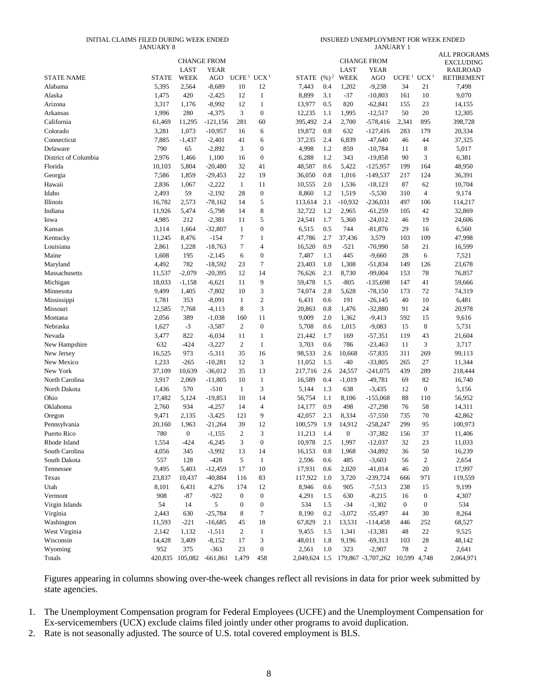#### INITIAL CLAIMS FILED DURING WEEK ENDED JANUARY 8

| INSURED UNEMPLOYMENT FOR WEEK ENDED |  |  |
|-------------------------------------|--|--|
| <b>JANUARY 1</b>                    |  |  |

|                      |              | <b>CHANGE FROM</b><br>LAST | YEAR                           |                   |                  |         |                   | LAST         | <b>CHANGE FROM</b><br>YEAR                    |                   |                  | <b>ALL PROGRAMS</b><br><b>EXCLUDING</b><br><b>RAILROAD</b> |
|----------------------|--------------|----------------------------|--------------------------------|-------------------|------------------|---------|-------------------|--------------|-----------------------------------------------|-------------------|------------------|------------------------------------------------------------|
| <b>STATE NAME</b>    | <b>STATE</b> | WEEK                       | AGO                            | UCFE <sup>1</sup> | UCX <sup>1</sup> | STATE   | $(\frac{9}{6})^2$ | WEEK         | AGO                                           | UCFE <sup>1</sup> | UCX <sup>1</sup> | <b>RETIREMENT</b>                                          |
| Alabama              | 5,395        | 2,564                      | $-8,689$                       | 10                | 12               | 7,443   | 0.4               | 1,202        | $-9,238$                                      | 34                | 21               | 7,498                                                      |
| Alaska               | 1,475        | 420                        | $-2,425$                       | 12                | $\mathbf{1}$     | 8,899   | 3.1               | $-37$        | $-10,803$                                     | 161               | 10               | 9,070                                                      |
| Arizona              | 3,317        | 1,176                      | $-8,992$                       | 12                | $\mathbf{1}$     | 13,977  | 0.5               | 820          | $-62,841$                                     | 155               | 23               | 14,155                                                     |
| Arkansas             | 1,996        | 280                        | $-4,375$                       | 3                 | $\boldsymbol{0}$ | 12,235  | 1.1               | 1,995        | $-12,517$                                     | 50                | 20               | 12,305                                                     |
| California           | 61,469       | 11,295                     | $-121,156$                     | 281               | 60               | 395,492 | 2.4               | 2,700        | $-578,416$                                    | 2,341             | 895              | 398,728                                                    |
| Colorado             | 3,281        | 1,073                      | $-10,957$                      | 16                | 6                | 19,872  | 0.8               | 632          | $-127,416$                                    | 283               | 179              | 20,334                                                     |
| Connecticut          | 7,885        | $-1,437$                   | $-2,401$                       | 41                | 6                | 37,235  | 2.4               | 6,839        | $-47,640$                                     | 46                | 44               | 37,325                                                     |
| Delaware             | 790          | 65                         | $-2,892$                       | 3                 | $\boldsymbol{0}$ | 4,998   | 1.2               | 859          | $-10,784$                                     | 11                | 8                | 5,017                                                      |
| District of Columbia | 2,976        | 1,466                      | 1,100                          | 16                | $\mathbf{0}$     | 6,288   | 1.2               | 343          | $-19,858$                                     | 90                | 3                | 6,381                                                      |
| Florida              | 10,103       | 5,804                      | $-20,480$                      | 32                | 41               | 48,587  | 0.6               | 5,422        | $-125,957$                                    | 199               | 164              | 48,950                                                     |
| Georgia              | 7,586        | 1,859                      | $-29,453$                      | 22                | 19               | 36,050  | 0.8               | 1,016        | $-149,537$                                    | 217               | 124              | 36,391                                                     |
| Hawaii               | 2,836        | 1,067                      | $-2,222$                       | 1                 | 11               | 10,555  | 2.0               | 1,536        | $-18,123$                                     | 87                | 62               | 10,704                                                     |
| Idaho                | 2,493        | 59                         | $-2,192$                       | 28                | $\boldsymbol{0}$ | 8,860   | 1.2               | 1,519        | $-5,530$                                      | 310               | $\overline{4}$   | 9,174                                                      |
| Illinois             | 16,782       | 2,573                      | $-78,162$                      | 14                | 5                | 113,614 | 2.1               | $-10,932$    | $-236,031$                                    | 497               | 106              | 114,217                                                    |
| Indiana              | 11,926       | 5,474                      | $-5,798$                       | 14                | 8                | 32,722  | 1.2               | 2,965        | $-61,259$                                     | 105               | 42               | 32,869                                                     |
| Iowa                 | 4,985        | 212                        | $-2,381$                       | 11                | 5                | 24,541  | 1.7               | 5,360        | $-24,012$                                     | 46                | 19               | 24,606                                                     |
| Kansas               | 3,114        | 1,664                      | $-32,807$                      | 1                 | $\boldsymbol{0}$ | 6,515   | 0.5               | 744          | $-81,876$                                     | 29                | 16               | 6,560                                                      |
| Kentucky             | 11,245       | 8,476                      | $-154$                         | 7                 | $\mathbf{1}$     | 47,786  | 2.7               | 37,436       | 3,579                                         | 103               | 109              | 47,998                                                     |
| Louisiana            | 2,861        | 1,228                      | $-18,763$                      | 7                 | $\overline{4}$   | 16,520  | 0.9               | $-521$       | $-70,990$                                     | 58                | 21               | 16,599                                                     |
| Maine                | 1,608        | 195                        | $-2,145$                       | 6                 | $\boldsymbol{0}$ | 7,487   | 1.3               | 445          | $-9,660$                                      | 28                | 6                | 7,521                                                      |
| Maryland             | 4,492        | 782                        | $-18,592$                      | 23                | $\boldsymbol{7}$ | 23,403  | 1.0               | 1,308        | $-51,834$                                     | 149               | 126              | 23,678                                                     |
| Massachusetts        | 11,537       | $-2,079$                   | $-20,395$                      | 12                | 14               | 76,626  | 2.3               | 8,730        | $-99,004$                                     | 153               | 78               | 76,857                                                     |
| Michigan             | 18,033       | $-1,158$                   | $-6,621$                       | 11                | 9                | 59,478  | 1.5               | $-805$       | $-135,698$                                    | 147               | 41               | 59,666                                                     |
| Minnesota            | 9,499        | 1,405                      | $-7,802$                       | 10                | 3                | 74,074  | 2.8               | 5,628        | $-78,150$                                     | 173               | 72               | 74,319                                                     |
| Mississippi          | 1,781        | 353                        | $-8,091$                       | 1                 | $\overline{c}$   | 6,431   | 0.6               | 191          | $-26,145$                                     | 40                | 10               | 6,481                                                      |
| Missouri             | 12,585       | 7,768                      | $-4,113$                       | 8                 | 3                | 20,863  | 0.8               | 1,476        | $-32,880$                                     | 91                | 24               | 20,978                                                     |
| Montana              | 2,056        | 389                        | $-1,038$                       | 160               | 11               | 9,009   | 2.0               | 1,362        | $-9,413$                                      | 592               | 15               | 9,616                                                      |
| Nebraska             | 1,627        | $-3$                       | $-3,587$                       | 2                 | $\boldsymbol{0}$ | 5,708   | 0.6               | 1,015        | $-9,083$                                      | 15                | 8                | 5,731                                                      |
| Nevada               | 3,477        | 822                        | $-6,034$                       | 11                | $\mathbf{1}$     | 21,442  | 1.7               | 169          | $-57,351$                                     | 119               | 43               | 21,604                                                     |
| New Hampshire        | 632          | $-424$                     | $-3,227$                       | $\overline{c}$    | $\,1$            | 3,703   | 0.6               | 786          | $-23,463$                                     | 11                | 3                | 3,717                                                      |
| New Jersey           | 16,525       | 973                        | $-5,311$                       | 35                | 16               | 98,533  | 2.6               | 10,668       | $-57,835$                                     | 311               | 269              | 99,113                                                     |
| New Mexico           | 1,233        | $-265$                     | $-10,281$                      | 12                | 3                | 11,052  | 1.5               | -40          | $-33,805$                                     | 265               | 27               | 11,344                                                     |
| New York             | 37,109       | 10,639                     | $-36,012$                      | 35                | 13               | 217,716 | 2.6               | 24,557       | $-241,075$                                    | 439               | 289              | 218,444                                                    |
| North Carolina       | 3,917        | 2,069                      | $-11,805$                      | 10                | $\mathbf{1}$     | 16,589  | 0.4               | $-1,019$     | $-49,781$                                     | 69                | 82               | 16,740                                                     |
| North Dakota         | 1,436        | 570                        | $-510$                         | 1                 | 3                | 5,144   | 1.3               | 638          | $-3,435$                                      | 12                | $\boldsymbol{0}$ | 5,156                                                      |
| Ohio                 | 17,482       | 5,124                      | $-19,853$                      | 10                | 14               | 56,754  | 1.1               | 8,106        | $-155,068$                                    | 88                | 110              | 56,952                                                     |
| Oklahoma             | 2,760        | 934                        | $-4,257$                       | 14                | $\overline{4}$   | 14,177  | 0.9               | 498          | $-27,298$                                     | 76                | 58               | 14,311                                                     |
| Oregon               | 9,471        | 2,135                      | $-3,425$                       | 121               | 9                | 42,057  | 2.3               | 8,334        | $-57,550$                                     | 735               | 70               | 42,862                                                     |
| Pennsylvania         | 20,160       | 1,963                      | $-21,264$                      | 39                | 12               | 100,579 | 1.9               | 14,912       | $-258,247$                                    | 299               | 95               | 100,973                                                    |
| Puerto Rico          | 780          | $\boldsymbol{0}$           | $-1,155$                       | $\mathbf{2}$      | 3                | 11,213  | 1.4               | $\mathbf{0}$ | $-37,382$                                     | 156               | 37               | 11,406                                                     |
| Rhode Island         | 1,554        | $-424$                     | $-6,245$                       | 3                 | $\theta$         | 10,978  | 2.5               | 1,997        | $-12,037$                                     | 32                | 23               | 11,033                                                     |
| South Carolina       | 4,056        | 345                        | $-3,992$                       | 13                | 14               | 16,153  | 0.8               | 1,968        | $-34,892$                                     | 36                | 50               | 16,239                                                     |
| South Dakota         | 557          | 128                        | $-428$                         | 5                 | $\mathbf{1}$     | 2,596   | 0.6               | 485          | $-3,603$                                      | 56                | $\sqrt{2}$       | 2,654                                                      |
| Tennessee            | 9,495        | 5,403                      | $-12,459$                      | 17                | 10               | 17,931  | 0.6               | 2,020        | $-41,014$                                     | 46                | 20               | 17,997                                                     |
| Texas                | 23,837       | 10,437                     | $-40,884$                      | 116               | 83               | 117,922 | 1.0               | 3,720        | $-239,724$                                    | 666               | 971              | 119,559                                                    |
| Utah                 | 8,101        | 6,431                      | 4,276                          | 174               | 12               | 8,946   | 0.6               | 905          | $-7,513$                                      | 238               | 15               | 9,199                                                      |
| Vermont              | 908          | $-87$                      | $-922$                         | $\boldsymbol{0}$  | $\boldsymbol{0}$ | 4,291   | 1.5               | 630          | $-8,215$                                      | 16                | $\boldsymbol{0}$ | 4,307                                                      |
| Virgin Islands       | 54           | 14                         | 5                              | $\boldsymbol{0}$  | $\boldsymbol{0}$ | 534     | 1.5               | $-34$        | $-1,302$                                      | $\boldsymbol{0}$  | $\boldsymbol{0}$ | 534                                                        |
| Virginia             | 2,443        | 630                        | $-25,784$                      | 8                 | $\tau$           | 8,190   | 0.2               | $-3,072$     | $-55,497$                                     | 44                | 30               | 8,264                                                      |
| Washington           | 11,593       | $-221$                     | $-16,685$                      | 45                | 18               | 67,829  | 2.1               | 13,531       | $-114,458$                                    | 446               | 252              | 68,527                                                     |
| West Virginia        | 2,142        | 1,132                      | $-1,511$                       | 2                 | $\mathbf{1}$     | 9,455   | 1.5               | 1,341        | $-13,381$                                     | 48                | 22               | 9,525                                                      |
| Wisconsin            | 14,428       | 3,409                      | $-8,152$                       | 17                | 3                | 48,011  | 1.8               | 9,196        | $-69,313$                                     | 103               | 28               | 48,142                                                     |
| Wyoming              | 952          | 375                        | $-363$                         | 23                | $\boldsymbol{0}$ | 2,561   | 1.0               | 323          | $-2,907$                                      | 78                | $\overline{c}$   | 2,641                                                      |
| Totals               |              |                            | 420,835 105,082 -661,861 1,479 |                   | 458              |         |                   |              | 2,049,624 1.5 179,867 -3,707,262 10,599 4,748 |                   |                  | 2,064,971                                                  |
|                      |              |                            |                                |                   |                  |         |                   |              |                                               |                   |                  |                                                            |

Figures appearing in columns showing over-the-week changes reflect all revisions in data for prior week submitted by state agencies.

1. The Unemployment Compensation program for Federal Employees (UCFE) and the Unemployment Compensation for Ex-servicemembers (UCX) exclude claims filed jointly under other programs to avoid duplication.

2. Rate is not seasonally adjusted. The source of U.S. total covered employment is BLS.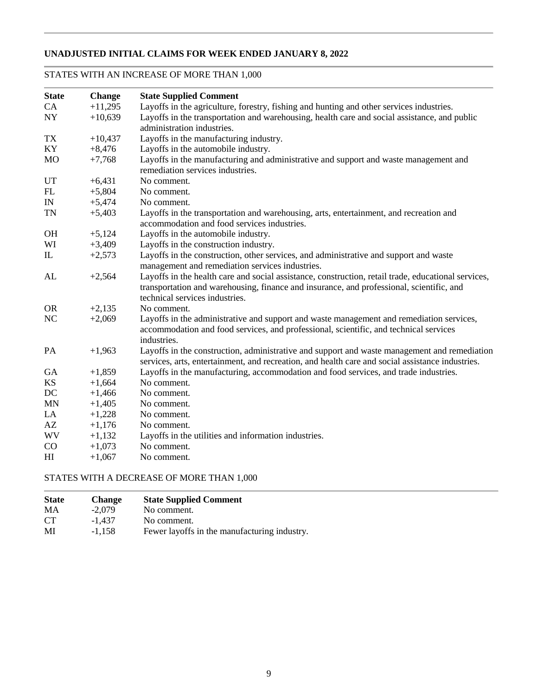### **UNADJUSTED INITIAL CLAIMS FOR WEEK ENDED JANUARY 8, 2022**

### STATES WITH AN INCREASE OF MORE THAN 1,000

| <b>State</b>             | <b>Change</b> | <b>State Supplied Comment</b>                                                                                                                                                                    |
|--------------------------|---------------|--------------------------------------------------------------------------------------------------------------------------------------------------------------------------------------------------|
| CA                       | $+11,295$     | Layoffs in the agriculture, forestry, fishing and hunting and other services industries.                                                                                                         |
| $\ensuremath{\text{NY}}$ | $+10,639$     | Layoffs in the transportation and warehousing, health care and social assistance, and public                                                                                                     |
|                          |               | administration industries.                                                                                                                                                                       |
| TX                       | $+10,437$     | Layoffs in the manufacturing industry.                                                                                                                                                           |
| KY                       | $+8,476$      | Layoffs in the automobile industry.                                                                                                                                                              |
| <b>MO</b>                | $+7,768$      | Layoffs in the manufacturing and administrative and support and waste management and<br>remediation services industries.                                                                         |
| UT                       | $+6,431$      | No comment.                                                                                                                                                                                      |
| FL                       | $+5,804$      | No comment.                                                                                                                                                                                      |
| IN                       | $+5,474$      | No comment.                                                                                                                                                                                      |
|                          |               |                                                                                                                                                                                                  |
| <b>TN</b>                | $+5,403$      | Layoffs in the transportation and warehousing, arts, entertainment, and recreation and<br>accommodation and food services industries.                                                            |
| <b>OH</b>                | $+5,124$      | Layoffs in the automobile industry.                                                                                                                                                              |
| WI                       | $+3,409$      | Layoffs in the construction industry.                                                                                                                                                            |
| $\mathbb{L}$             | $+2,573$      | Layoffs in the construction, other services, and administrative and support and waste                                                                                                            |
|                          |               | management and remediation services industries.                                                                                                                                                  |
| AL                       | $+2,564$      | Layoffs in the health care and social assistance, construction, retail trade, educational services,                                                                                              |
|                          |               | transportation and warehousing, finance and insurance, and professional, scientific, and                                                                                                         |
|                          |               | technical services industries.                                                                                                                                                                   |
| <b>OR</b>                | $+2,135$      | No comment.                                                                                                                                                                                      |
| NC                       | $+2,069$      | Layoffs in the administrative and support and waste management and remediation services,<br>accommodation and food services, and professional, scientific, and technical services                |
|                          |               | industries.                                                                                                                                                                                      |
| PA                       | $+1,963$      | Layoffs in the construction, administrative and support and waste management and remediation<br>services, arts, entertainment, and recreation, and health care and social assistance industries. |
| <b>GA</b>                | $+1,859$      | Layoffs in the manufacturing, accommodation and food services, and trade industries.                                                                                                             |
| KS                       | $+1,664$      | No comment.                                                                                                                                                                                      |
| DC                       | $+1,466$      | No comment.                                                                                                                                                                                      |
| <b>MN</b>                | $+1,405$      | No comment.                                                                                                                                                                                      |
| LA                       | $+1,228$      | No comment.                                                                                                                                                                                      |
| AZ                       | $+1,176$      | No comment.                                                                                                                                                                                      |
| <b>WV</b>                | $+1,132$      | Layoffs in the utilities and information industries.                                                                                                                                             |
| CO                       | $+1,073$      | No comment.                                                                                                                                                                                      |
| H <sub>I</sub>           | $+1,067$      | No comment.                                                                                                                                                                                      |

### STATES WITH A DECREASE OF MORE THAN 1,000

| <b>State</b> | Change   | <b>State Supplied Comment</b>                |
|--------------|----------|----------------------------------------------|
| MA           | $-2.079$ | No comment.                                  |
| <b>CT</b>    | -1.437   | No comment.                                  |
| MI           | $-1.158$ | Fewer layoffs in the manufacturing industry. |